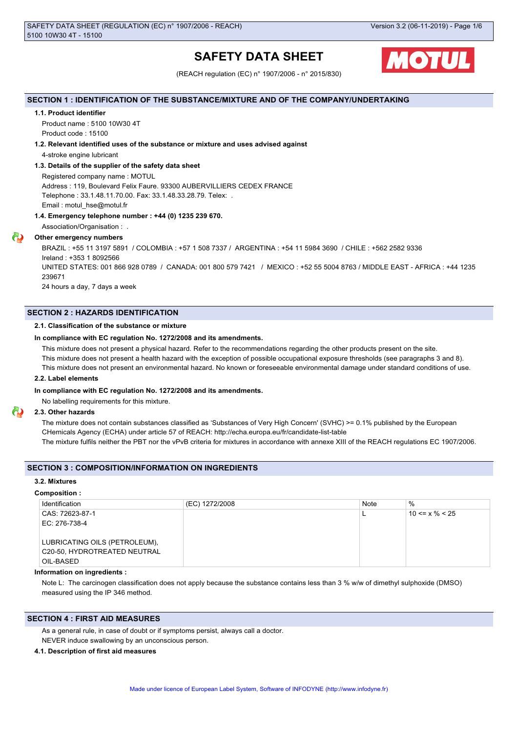# **SAFETY DATA SHEET**



(REACH regulation (EC) n° 1907/2006 - n° 2015/830)

# **SECTION 1 : IDENTIFICATION OF THE SUBSTANCE/MIXTURE AND OF THE COMPANY/UNDERTAKING**

# **1.1. Product identifier**

Product name : 5100 10W30 4T Product code : 15100

# **1.2. Relevant identified uses of the substance or mixture and uses advised against**

4-stroke engine lubricant

# **1.3. Details of the supplier of the safety data sheet**

Registered company name : MOTUL Address : 119, Boulevard Felix Faure. 93300 AUBERVILLIERS CEDEX FRANCE Telephone : 33.1.48.11.70.00. Fax: 33.1.48.33.28.79. Telex: . Email : motul\_hse@motul.fr

# **1.4. Emergency telephone number : +44 (0) 1235 239 670.**

Association/Organisation : .

# **Other emergency numbers**

BRAZIL : +55 11 3197 5891 / COLOMBIA : +57 1 508 7337 / ARGENTINA : +54 11 5984 3690 / CHILE : +562 2582 9336 Ireland : +353 1 8092566 UNITED STATES: 001 866 928 0789 / CANADA: 001 800 579 7421 / MEXICO : +52 55 5004 8763 / MIDDLE EAST - AFRICA : +44 1235 239671 24 hours a day, 7 days a week

**SECTION 2 : HAZARDS IDENTIFICATION**

# **2.1. Classification of the substance or mixture**

# **In compliance with EC regulation No. 1272/2008 and its amendments.**

This mixture does not present a physical hazard. Refer to the recommendations regarding the other products present on the site.

This mixture does not present a health hazard with the exception of possible occupational exposure thresholds (see paragraphs 3 and 8).

This mixture does not present an environmental hazard. No known or foreseeable environmental damage under standard conditions of use.

# **2.2. Label elements**

# **In compliance with EC regulation No. 1272/2008 and its amendments.**

No labelling requirements for this mixture.

# **2.3. Other hazards**

The mixture does not contain substances classified as 'Substances of Very High Concern' (SVHC) >= 0.1% published by the European CHemicals Agency (ECHA) under article 57 of REACH: http://echa.europa.eu/fr/candidate-list-table The mixture fulfils neither the PBT nor the vPvB criteria for mixtures in accordance with annexe XIII of the REACH regulations EC 1907/2006.

# **SECTION 3 : COMPOSITION/INFORMATION ON INGREDIENTS**

#### **3.2. Mixtures**

#### **Composition :**

| Identification                | (EC) 1272/2008 | Note | $\%$                 |
|-------------------------------|----------------|------|----------------------|
| CAS: 72623-87-1               |                |      | $10 \le x \% \le 25$ |
| EC: 276-738-4                 |                |      |                      |
|                               |                |      |                      |
| LUBRICATING OILS (PETROLEUM), |                |      |                      |
| C20-50, HYDROTREATED NEUTRAL  |                |      |                      |
| OIL-BASED                     |                |      |                      |

# **Information on ingredients :**

Note L: The carcinogen classification does not apply because the substance contains less than 3 % w/w of dimethyl sulphoxide (DMSO) measured using the IP 346 method.

# **SECTION 4 : FIRST AID MEASURES**

As a general rule, in case of doubt or if symptoms persist, always call a doctor. NEVER induce swallowing by an unconscious person.

### **4.1. Description of first aid measures**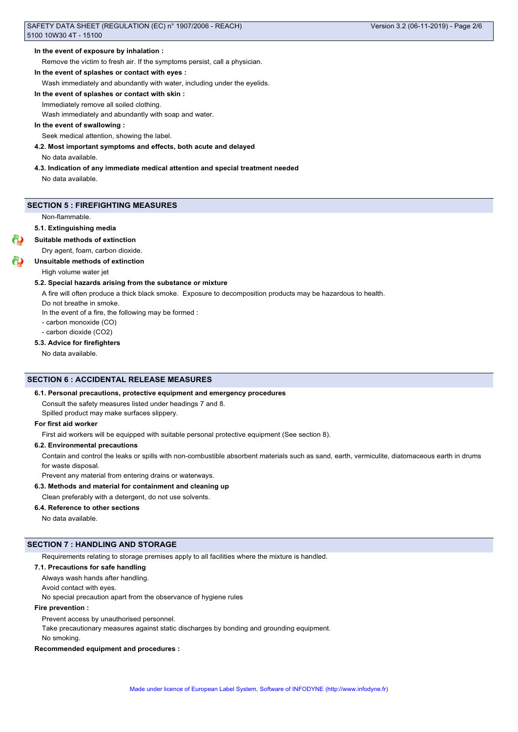#### **In the event of exposure by inhalation :**

Remove the victim to fresh air. If the symptoms persist, call a physician.

# **In the event of splashes or contact with eyes :**

Wash immediately and abundantly with water, including under the eyelids.

**In the event of splashes or contact with skin :**

Immediately remove all soiled clothing.

Wash immediately and abundantly with soap and water.

# **In the event of swallowing :**

Seek medical attention, showing the label.

#### **4.2. Most important symptoms and effects, both acute and delayed**

No data available.

**4.3. Indication of any immediate medical attention and special treatment needed**

No data available.

# **SECTION 5 : FIREFIGHTING MEASURES**

Non-flammable.

#### **5.1. Extinguishing media**

# **Suitable methods of extinction**

Dry agent, foam, carbon dioxide.

#### **Unsuitable methods of extinction**

High volume water jet

#### **5.2. Special hazards arising from the substance or mixture**

A fire will often produce a thick black smoke. Exposure to decomposition products may be hazardous to health.

Do not breathe in smoke.

In the event of a fire, the following may be formed :

- carbon monoxide (CO)
- carbon dioxide (CO2)

# **5.3. Advice for firefighters**

No data available.

# **SECTION 6 : ACCIDENTAL RELEASE MEASURES**

#### **6.1. Personal precautions, protective equipment and emergency procedures**

Consult the safety measures listed under headings 7 and 8.

Spilled product may make surfaces slippery.

# **For first aid worker**

First aid workers will be equipped with suitable personal protective equipment (See section 8).

#### **6.2. Environmental precautions**

Contain and control the leaks or spills with non-combustible absorbent materials such as sand, earth, vermiculite, diatomaceous earth in drums for waste disposal.

Prevent any material from entering drains or waterways.

# **6.3. Methods and material for containment and cleaning up**

Clean preferably with a detergent, do not use solvents.

#### **6.4. Reference to other sections**

No data available.

# **SECTION 7 : HANDLING AND STORAGE**

Requirements relating to storage premises apply to all facilities where the mixture is handled.

#### **7.1. Precautions for safe handling**

Always wash hands after handling.

Avoid contact with eyes.

No special precaution apart from the observance of hygiene rules

### **Fire prevention :**

Prevent access by unauthorised personnel.

Take precautionary measures against static discharges by bonding and grounding equipment.

No smoking.

#### **Recommended equipment and procedures :**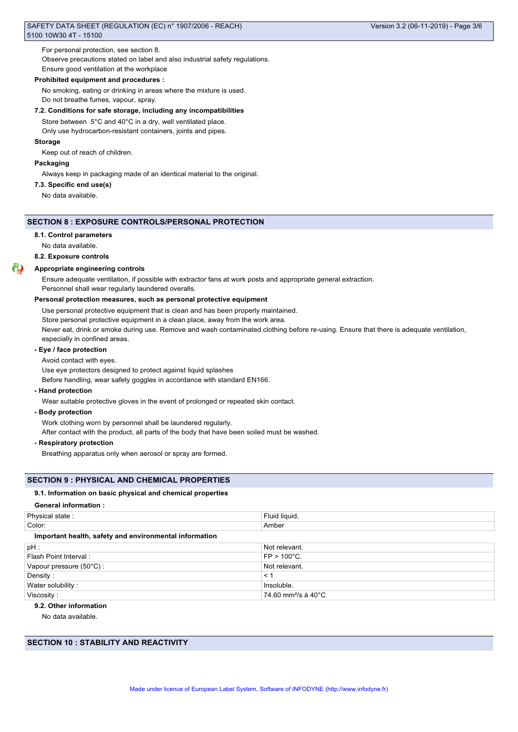For personal protection, see section 8.

Observe precautions stated on label and also industrial safety regulations.

Ensure good ventilation at the workplace

#### **Prohibited equipment and procedures :**

No smoking, eating or drinking in areas where the mixture is used. Do not breathe fumes, vapour, spray.

# **7.2. Conditions for safe storage, including any incompatibilities**

Store between 5°C and 40°C in a dry, well ventilated place. Only use hydrocarbon-resistant containers, joints and pipes.

# **Storage**

Keep out of reach of children.

# **Packaging**

Always keep in packaging made of an identical material to the original.

# **7.3. Specific end use(s)**

No data available.

# **SECTION 8 : EXPOSURE CONTROLS/PERSONAL PROTECTION**

#### **8.1. Control parameters**

No data available.

**8.2. Exposure controls**

### **Appropriate engineering controls**

Ensure adequate ventilation, if possible with extractor fans at work posts and appropriate general extraction. Personnel shall wear regularly laundered overalls.

#### **Personal protection measures, such as personal protective equipment**

Use personal protective equipment that is clean and has been properly maintained. Store personal protective equipment in a clean place, away from the work area. Never eat, drink or smoke during use. Remove and wash contaminated clothing before re-using. Ensure that there is adequate ventilation, especially in confined areas.

# **- Eye / face protection**

Avoid contact with eyes.

Use eye protectors designed to protect against liquid splashes

Before handling, wear safety goggles in accordance with standard EN166.

**- Hand protection**

Wear suitable protective gloves in the event of prolonged or repeated skin contact.

#### **- Body protection**

Work clothing worn by personnel shall be laundered regularly.

After contact with the product, all parts of the body that have been soiled must be washed.

**- Respiratory protection**

Breathing apparatus only when aerosol or spray are formed.

#### **SECTION 9 : PHYSICAL AND CHEMICAL PROPERTIES**

#### **9.1. Information on basic physical and chemical properties**

#### **General information :**

| Physical state:                                        | Fluid liquid.                   |  |  |
|--------------------------------------------------------|---------------------------------|--|--|
| Color:                                                 | Amber                           |  |  |
| Important health, safety and environmental information |                                 |  |  |
| $pH$ :                                                 | Not relevant.                   |  |  |
| Flash Point Interval:                                  | $FP > 100^{\circ}C$ .           |  |  |
| Vapour pressure (50°C):                                | Not relevant.                   |  |  |
| Density:                                               | $\leq$ 1                        |  |  |
| Water solubility:                                      | Insoluble.                      |  |  |
| Viscosity:                                             | 74.60 mm <sup>2</sup> /s à 40°C |  |  |

# **9.2. Other information**

No data available.

**SECTION 10 : STABILITY AND REACTIVITY**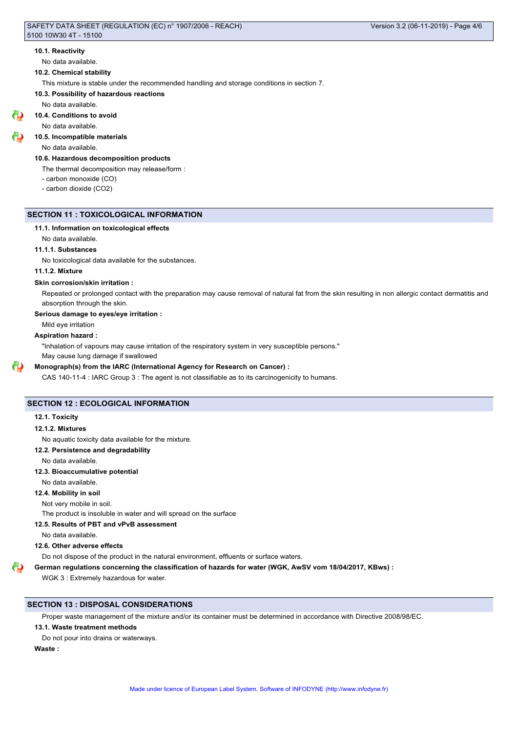#### **10.1. Reactivity**

No data available.

#### **10.2. Chemical stability**

This mixture is stable under the recommended handling and storage conditions in section 7.

#### **10.3. Possibility of hazardous reactions**

No data available.

# **10.4. Conditions to avoid**

No data available.

### **10.5. Incompatible materials**

No data available.

#### **10.6. Hazardous decomposition products**

The thermal decomposition may release/form :

- carbon monoxide (CO)

- carbon dioxide (CO2)

# **SECTION 11 : TOXICOLOGICAL INFORMATION**

#### **11.1. Information on toxicological effects**

No data available.

# **11.1.1. Substances**

No toxicological data available for the substances.

#### **11.1.2. Mixture**

#### **Skin corrosion/skin irritation :**

Repeated or prolonged contact with the preparation may cause removal of natural fat from the skin resulting in non allergic contact dermatitis and absorption through the skin.

#### **Serious damage to eyes/eye irritation :**

Mild eye irritation

### **Aspiration hazard :**

"Inhalation of vapours may cause irritation of the respiratory system in very susceptible persons."

May cause lung damage if swallowed

# **Monograph(s) from the IARC (International Agency for Research on Cancer) :**

CAS 140-11-4 : IARC Group 3 : The agent is not classifiable as to its carcinogenicity to humans.

# **SECTION 12 : ECOLOGICAL INFORMATION**

#### **12.1. Toxicity**

#### **12.1.2. Mixtures**

No aquatic toxicity data available for the mixture.

# **12.2. Persistence and degradability**

No data available.

# **12.3. Bioaccumulative potential**

No data available.

# **12.4. Mobility in soil**

Not very mobile in soil.

The product is insoluble in water and will spread on the surface

# **12.5. Results of PBT and vPvB assessment**

No data available.

### **12.6. Other adverse effects**

Do not dispose of the product in the natural environment, effluents or surface waters.

### **German regulations concerning the classification of hazards for water (WGK, AwSV vom 18/04/2017, KBws) :**

WGK 3 : Extremely hazardous for water.

# **SECTION 13 : DISPOSAL CONSIDERATIONS**

Proper waste management of the mixture and/or its container must be determined in accordance with Directive 2008/98/EC.

# **13.1. Waste treatment methods**

Do not pour into drains or waterways.

**Waste :**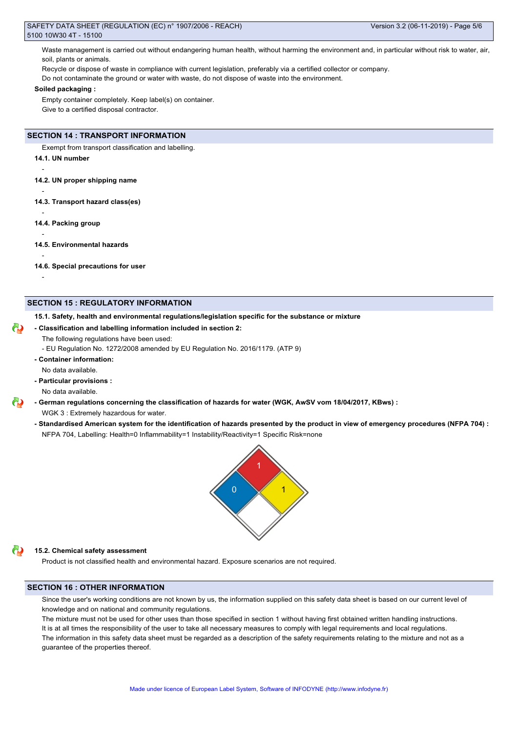Waste management is carried out without endangering human health, without harming the environment and, in particular without risk to water, air, soil, plants or animals.

Recycle or dispose of waste in compliance with current legislation, preferably via a certified collector or company.

Do not contaminate the ground or water with waste, do not dispose of waste into the environment.

#### **Soiled packaging :**

Empty container completely. Keep label(s) on container. Give to a certified disposal contractor.

# **SECTION 14 : TRANSPORT INFORMATION**

Exempt from transport classification and labelling.

**14.1. UN number**

-

-

-

-

-

-

**14.2. UN proper shipping name**

**14.3. Transport hazard class(es)**

**14.4. Packing group**

**14.5. Environmental hazards**

**14.6. Special precautions for user**

#### **SECTION 15 : REGULATORY INFORMATION**

**15.1. Safety, health and environmental regulations/legislation specific for the substance or mixture**

**- Classification and labelling information included in section 2:**

The following regulations have been used:

- EU Regulation No. 1272/2008 amended by EU Regulation No. 2016/1179. (ATP 9)

- **Container information:**
- No data available.
- **Particular provisions :**

No data available.

**- German regulations concerning the classification of hazards for water (WGK, AwSV vom 18/04/2017, KBws) :** WGK 3 : Extremely hazardous for water.

**- Standardised American system for the identification of hazards presented by the product in view of emergency procedures (NFPA 704) :** NFPA 704, Labelling: Health=0 Inflammability=1 Instability/Reactivity=1 Specific Risk=none



# **15.2. Chemical safety assessment**

Product is not classified health and environmental hazard. Exposure scenarios are not required.

# **SECTION 16 : OTHER INFORMATION**

Since the user's working conditions are not known by us, the information supplied on this safety data sheet is based on our current level of knowledge and on national and community regulations.

The mixture must not be used for other uses than those specified in section 1 without having first obtained written handling instructions. It is at all times the responsibility of the user to take all necessary measures to comply with legal requirements and local regulations. The information in this safety data sheet must be regarded as a description of the safety requirements relating to the mixture and not as a guarantee of the properties thereof.